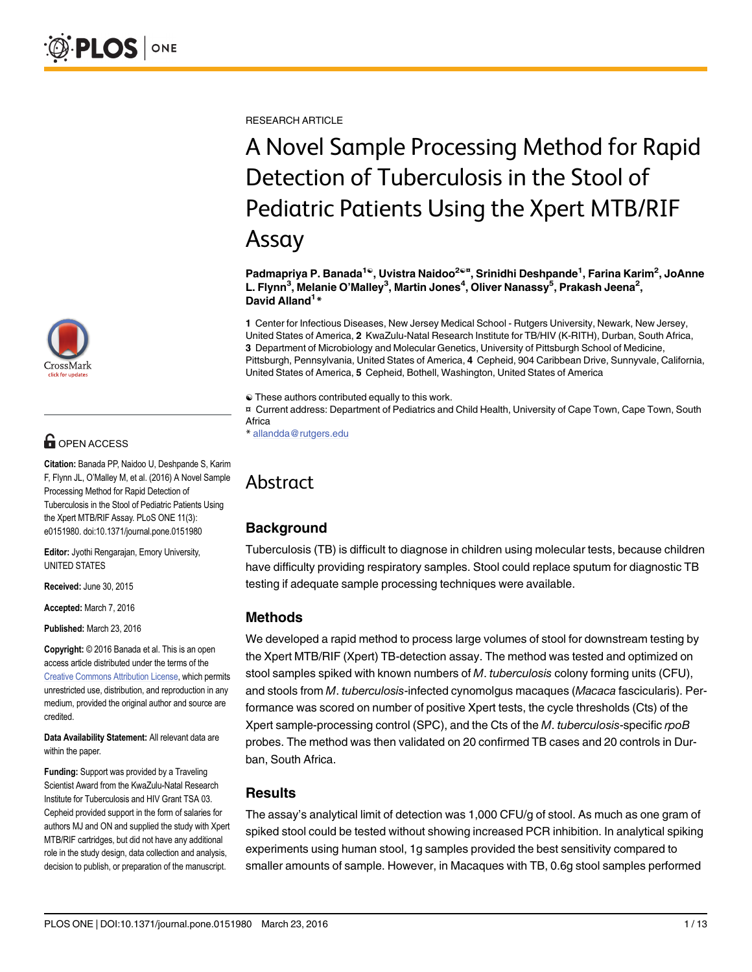

# **G** OPEN ACCESS

Citation: Banada PP, Naidoo U, Deshpande S, Karim F, Flynn JL, O'Malley M, et al. (2016) A Novel Sample Processing Method for Rapid Detection of Tuberculosis in the Stool of Pediatric Patients Using the Xpert MTB/RIF Assay. PLoS ONE 11(3): e0151980. doi:10.1371/journal.pone.0151980

Editor: Jyothi Rengarajan, Emory University, UNITED STATES

Received: June 30, 2015

Accepted: March 7, 2016

Published: March 23, 2016

Copyright: © 2016 Banada et al. This is an open access article distributed under the terms of the [Creative Commons Attribution License,](http://creativecommons.org/licenses/by/4.0/) which permits unrestricted use, distribution, and reproduction in any medium, provided the original author and source are credited.

Data Availability Statement: All relevant data are within the paper.

Funding: Support was provided by a Traveling Scientist Award from the KwaZulu-Natal Research Institute for Tuberculosis and HIV Grant TSA 03. Cepheid provided support in the form of salaries for authors MJ and ON and supplied the study with Xpert MTB/RIF cartridges, but did not have any additional role in the study design, data collection and analysis, decision to publish, or preparation of the manuscript.

RESEARCH ARTICLE

# A Novel Sample Processing Method for Rapid Detection of Tuberculosis in the Stool of Pediatric Patients Using the Xpert MTB/RIF Assay

Padmapriya P. Banada<sup>1©</sup>, Uvistra Naidoo<sup>2©¤</sup>, Srinidhi Deshpande<sup>1</sup>, Farina Karim<sup>2</sup>, JoAnne L. Flynn<sup>3</sup>, Melanie O'Malley<sup>3</sup>, Martin Jones<sup>4</sup>, Oliver Nanassy<sup>5</sup>, Prakash Jeena<sup>2</sup>, David Alland<sup>1</sup>\*

1 Center for Infectious Diseases, New Jersey Medical School - Rutgers University, Newark, New Jersey, United States of America, 2 KwaZulu-Natal Research Institute for TB/HIV (K-RITH), Durban, South Africa, 3 Department of Microbiology and Molecular Genetics, University of Pittsburgh School of Medicine, Pittsburgh, Pennsylvania, United States of America, 4 Cepheid, 904 Caribbean Drive, Sunnyvale, California, United States of America, 5 Cepheid, Bothell, Washington, United States of America

☯ These authors contributed equally to this work.

¤ Current address: Department of Pediatrics and Child Health, University of Cape Town, Cape Town, South Africa

\* allandda@rutgers.edu

# Abstract

#### **Background**

Tuberculosis (TB) is difficult to diagnose in children using molecular tests, because children have difficulty providing respiratory samples. Stool could replace sputum for diagnostic TB testing if adequate sample processing techniques were available.

# Methods

We developed a rapid method to process large volumes of stool for downstream testing by the Xpert MTB/RIF (Xpert) TB-detection assay. The method was tested and optimized on stool samples spiked with known numbers of M. tuberculosis colony forming units (CFU), and stools from M. tuberculosis-infected cynomolgus macaques (Macaca fascicularis). Performance was scored on number of positive Xpert tests, the cycle thresholds (Cts) of the Xpert sample-processing control (SPC), and the Cts of the M. tuberculosis-specific rpoB probes. The method was then validated on 20 confirmed TB cases and 20 controls in Durban, South Africa.

#### Results

The assay's analytical limit of detection was 1,000 CFU/g of stool. As much as one gram of spiked stool could be tested without showing increased PCR inhibition. In analytical spiking experiments using human stool, 1g samples provided the best sensitivity compared to smaller amounts of sample. However, in Macaques with TB, 0.6g stool samples performed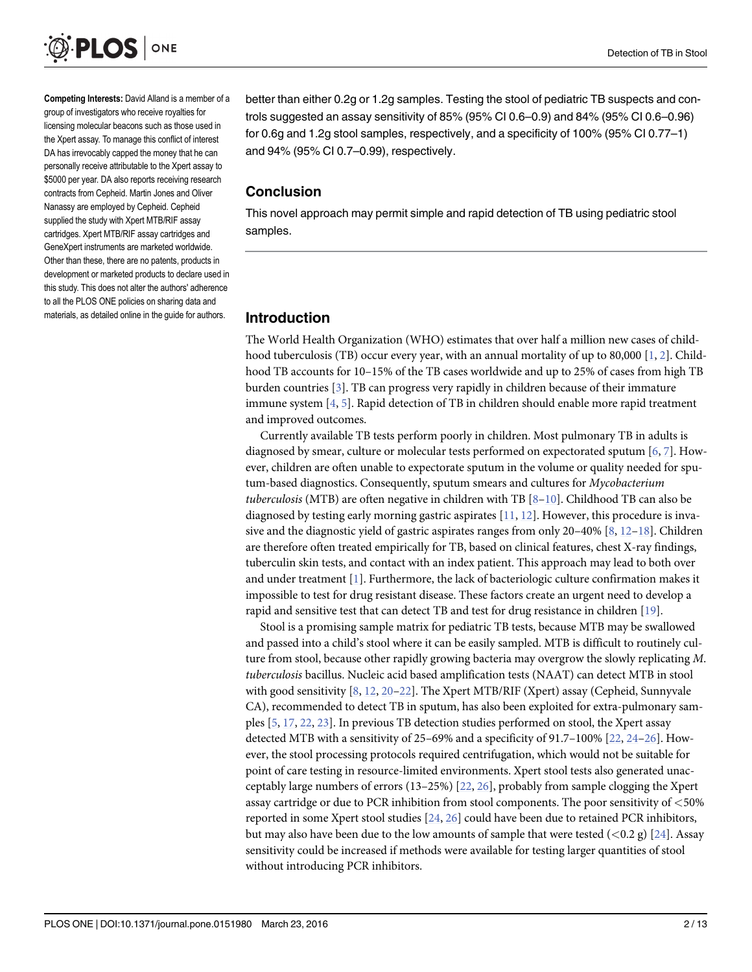<span id="page-1-0"></span>

Competing Interests: David Alland is a member of a group of investigators who receive royalties for licensing molecular beacons such as those used in the Xpert assay. To manage this conflict of interest DA has irrevocably capped the money that he can personally receive attributable to the Xpert assay to \$5000 per year. DA also reports receiving research contracts from Cepheid. Martin Jones and Oliver Nanassy are employed by Cepheid. Cepheid supplied the study with Xpert MTB/RIF assay cartridges. Xpert MTB/RIF assay cartridges and GeneXpert instruments are marketed worldwide. Other than these, there are no patents, products in development or marketed products to declare used in this study. This does not alter the authors' adherence to all the PLOS ONE policies on sharing data and materials, as detailed online in the guide for authors.

better than either 0.2g or 1.2g samples. Testing the stool of pediatric TB suspects and controls suggested an assay sensitivity of 85% (95% CI 0.6–0.9) and 84% (95% CI 0.6–0.96) for 0.6g and 1.2g stool samples, respectively, and a specificity of 100% (95% CI 0.77–1) and 94% (95% CI 0.7–0.99), respectively.

#### Conclusion

This novel approach may permit simple and rapid detection of TB using pediatric stool samples.

#### Introduction

The World Health Organization (WHO) estimates that over half a million new cases of child-hood tuberculosis (TB) occur every year, with an annual mortality of up to 80,000 [\[1,](#page-11-0) [2](#page-11-0)]. Childhood TB accounts for 10–15% of the TB cases worldwide and up to 25% of cases from high TB burden countries  $[3]$  $[3]$ . TB can progress very rapidly in children because of their immature immune system [[4,](#page-11-0) [5\]](#page-11-0). Rapid detection of TB in children should enable more rapid treatment and improved outcomes.

Currently available TB tests perform poorly in children. Most pulmonary TB in adults is diagnosed by smear, culture or molecular tests performed on expectorated sputum [\[6](#page-11-0), [7](#page-11-0)]. However, children are often unable to expectorate sputum in the volume or quality needed for sputum-based diagnostics. Consequently, sputum smears and cultures for Mycobacterium tuberculosis (MTB) are often negative in children with TB  $[8-10]$  $[8-10]$  $[8-10]$  $[8-10]$  $[8-10]$ . Childhood TB can also be diagnosed by testing early morning gastric aspirates [\[11,](#page-11-0) [12\]](#page-11-0). However, this procedure is invasive and the diagnostic yield of gastric aspirates ranges from only 20–40%  $[8, 12-18]$  $[8, 12-18]$  $[8, 12-18]$  $[8, 12-18]$  $[8, 12-18]$  $[8, 12-18]$  $[8, 12-18]$ . Children are therefore often treated empirically for TB, based on clinical features, chest X-ray findings, tuberculin skin tests, and contact with an index patient. This approach may lead to both over and under treatment  $[1]$  $[1]$ . Furthermore, the lack of bacteriologic culture confirmation makes it impossible to test for drug resistant disease. These factors create an urgent need to develop a rapid and sensitive test that can detect TB and test for drug resistance in children [[19](#page-11-0)].

Stool is a promising sample matrix for pediatric TB tests, because MTB may be swallowed and passed into a child's stool where it can be easily sampled. MTB is difficult to routinely culture from stool, because other rapidly growing bacteria may overgrow the slowly replicating M. tuberculosis bacillus. Nucleic acid based amplification tests (NAAT) can detect MTB in stool with good sensitivity [\[8](#page-11-0), [12](#page-11-0), [20](#page-12-0)–[22\]](#page-12-0). The Xpert MTB/RIF (Xpert) assay (Cepheid, Sunnyvale CA), recommended to detect TB in sputum, has also been exploited for extra-pulmonary samples [\[5,](#page-11-0) [17,](#page-11-0) [22,](#page-12-0) [23\]](#page-12-0). In previous TB detection studies performed on stool, the Xpert assay detected MTB with a sensitivity of 25–69% and a specificity of 91.7–100% [\[22,](#page-12-0) [24](#page-12-0)–[26\]](#page-12-0). However, the stool processing protocols required centrifugation, which would not be suitable for point of care testing in resource-limited environments. Xpert stool tests also generated unacceptably large numbers of errors (13–25%) [[22](#page-12-0), [26](#page-12-0)], probably from sample clogging the Xpert assay cartridge or due to PCR inhibition from stool components. The poor sensitivity of  $<$ 50% reported in some Xpert stool studies [[24,](#page-12-0) [26\]](#page-12-0) could have been due to retained PCR inhibitors, but may also have been due to the low amounts of sample that were tested  $(<0.2 g)$  [[24](#page-12-0)]. Assay sensitivity could be increased if methods were available for testing larger quantities of stool without introducing PCR inhibitors.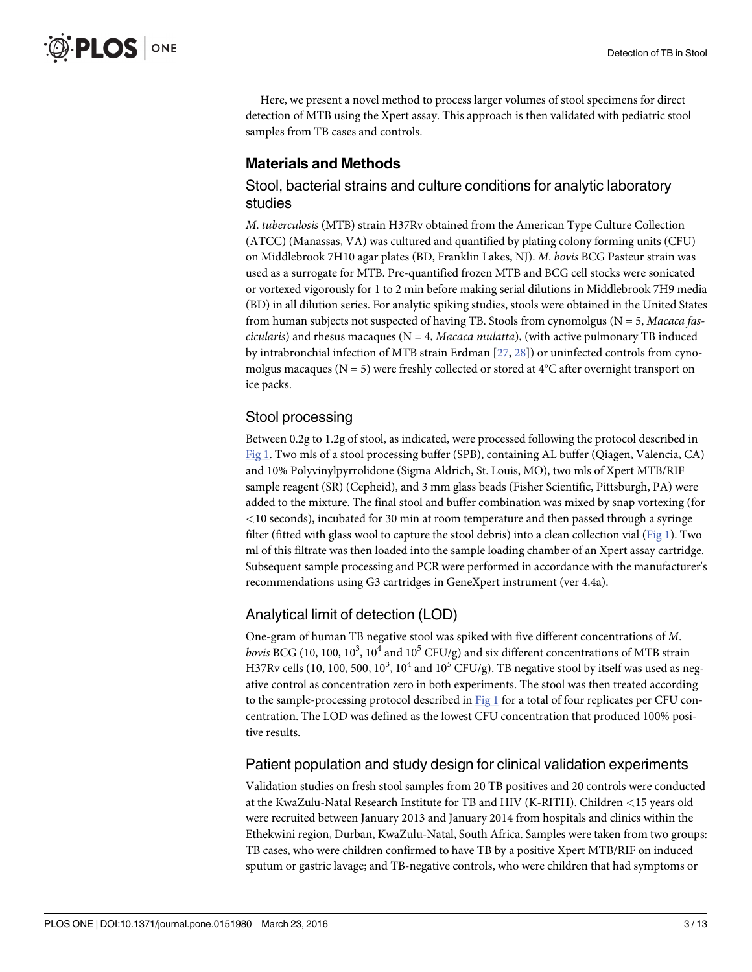<span id="page-2-0"></span>Here, we present a novel method to process larger volumes of stool specimens for direct detection of MTB using the Xpert assay. This approach is then validated with pediatric stool samples from TB cases and controls.

# Materials and Methods

## Stool, bacterial strains and culture conditions for analytic laboratory studies

M. tuberculosis (MTB) strain H37Rv obtained from the American Type Culture Collection (ATCC) (Manassas, VA) was cultured and quantified by plating colony forming units (CFU) on Middlebrook 7H10 agar plates (BD, Franklin Lakes, NJ). M. bovis BCG Pasteur strain was used as a surrogate for MTB. Pre-quantified frozen MTB and BCG cell stocks were sonicated or vortexed vigorously for 1 to 2 min before making serial dilutions in Middlebrook 7H9 media (BD) in all dilution series. For analytic spiking studies, stools were obtained in the United States from human subjects not suspected of having TB. Stools from cynomolgus ( $N = 5$ , *Macaca fas*cicularis) and rhesus macaques ( $N = 4$ , *Macaca mulatta*), (with active pulmonary TB induced by intrabronchial infection of MTB strain Erdman [[27](#page-12-0), [28](#page-12-0)]) or uninfected controls from cynomolgus macaques ( $N = 5$ ) were freshly collected or stored at  $4^{\circ}$ C after overnight transport on ice packs.

# Stool processing

Between 0.2g to 1.2g of stool, as indicated, were processed following the protocol described in [Fig 1](#page-3-0). Two mls of a stool processing buffer (SPB), containing AL buffer (Qiagen, Valencia, CA) and 10% Polyvinylpyrrolidone (Sigma Aldrich, St. Louis, MO), two mls of Xpert MTB/RIF sample reagent (SR) (Cepheid), and 3 mm glass beads (Fisher Scientific, Pittsburgh, PA) were added to the mixture. The final stool and buffer combination was mixed by snap vortexing (for <10 seconds), incubated for 30 min at room temperature and then passed through a syringe filter (fitted with glass wool to capture the stool debris) into a clean collection vial ([Fig 1\)](#page-3-0). Two ml of this filtrate was then loaded into the sample loading chamber of an Xpert assay cartridge. Subsequent sample processing and PCR were performed in accordance with the manufacturer's recommendations using G3 cartridges in GeneXpert instrument (ver 4.4a).

# Analytical limit of detection (LOD)

One-gram of human TB negative stool was spiked with five different concentrations of M. bovis BCG (10, 100,  $10^3$ ,  $10^4$  and  $10^5$  CFU/g) and six different concentrations of MTB strain H37Rv cells (10, 100, 500,  $10^3$ ,  $10^4$  and  $10^5$  CFU/g). TB negative stool by itself was used as negative control as concentration zero in both experiments. The stool was then treated according to the sample-processing protocol described in [Fig 1](#page-3-0) for a total of four replicates per CFU concentration. The LOD was defined as the lowest CFU concentration that produced 100% positive results.

# Patient population and study design for clinical validation experiments

Validation studies on fresh stool samples from 20 TB positives and 20 controls were conducted at the KwaZulu-Natal Research Institute for TB and HIV (K-RITH). Children <15 years old were recruited between January 2013 and January 2014 from hospitals and clinics within the Ethekwini region, Durban, KwaZulu-Natal, South Africa. Samples were taken from two groups: TB cases, who were children confirmed to have TB by a positive Xpert MTB/RIF on induced sputum or gastric lavage; and TB-negative controls, who were children that had symptoms or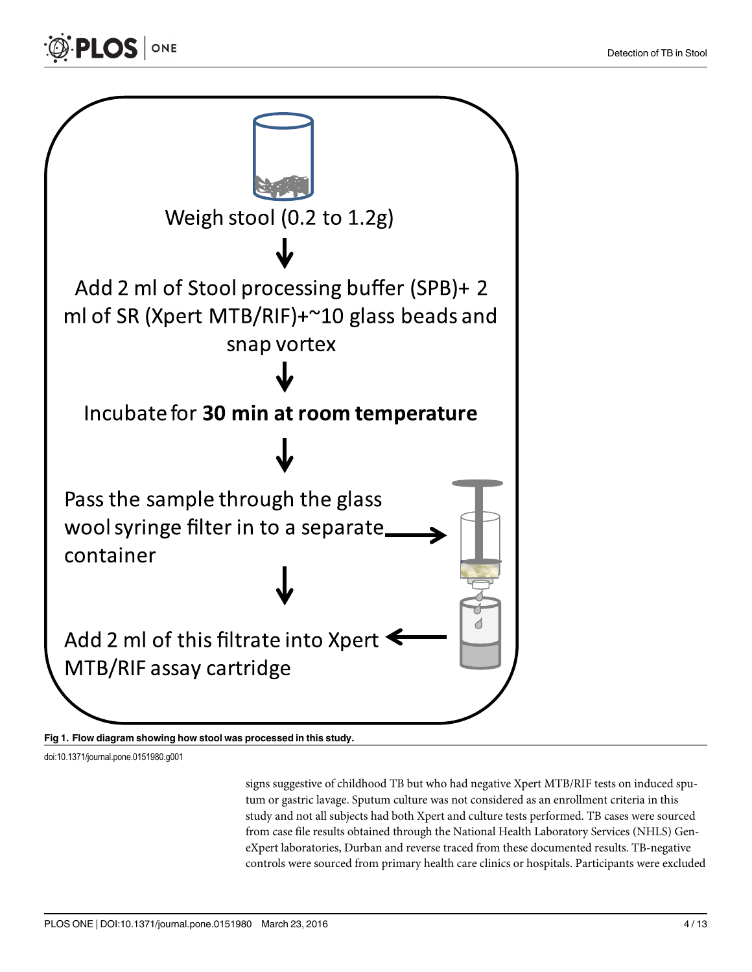<span id="page-3-0"></span>



doi:10.1371/journal.pone.0151980.g001

signs suggestive of childhood TB but who had negative Xpert MTB/RIF tests on induced sputum or gastric lavage. Sputum culture was not considered as an enrollment criteria in this study and not all subjects had both Xpert and culture tests performed. TB cases were sourced from case file results obtained through the National Health Laboratory Services (NHLS) GeneXpert laboratories, Durban and reverse traced from these documented results. TB-negative controls were sourced from primary health care clinics or hospitals. Participants were excluded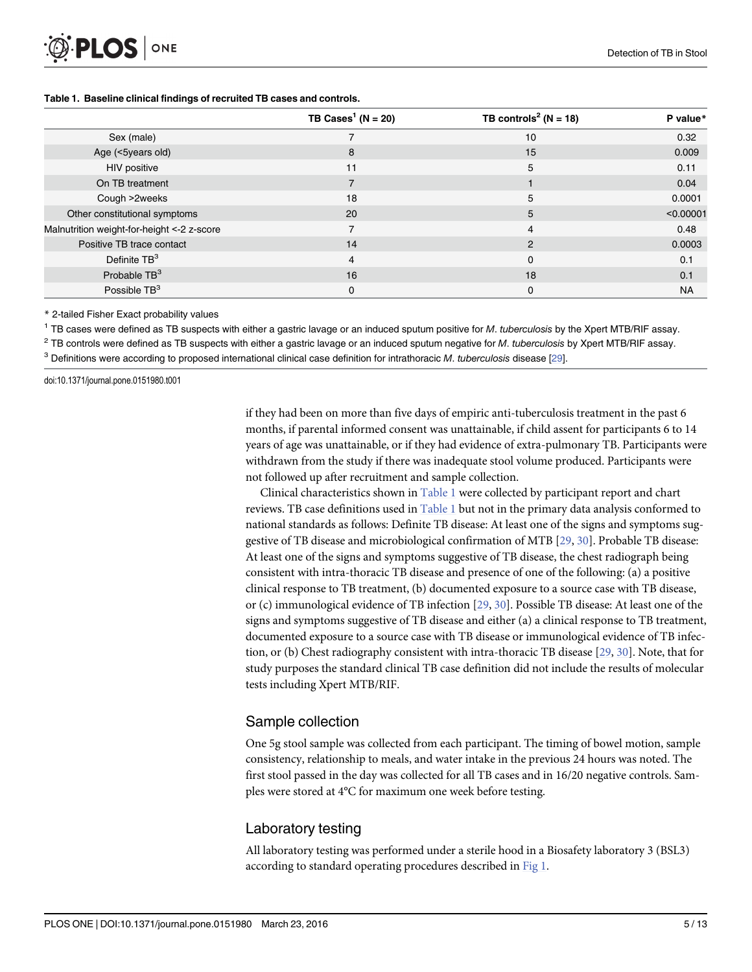#### <span id="page-4-0"></span>Table 1. Baseline clinical findings of recruited TB cases and controls.

|                                             | TB Cases <sup>1</sup> ( $N = 20$ ) | TB controls <sup>2</sup> ( $N = 18$ ) | P value*  |
|---------------------------------------------|------------------------------------|---------------------------------------|-----------|
| Sex (male)                                  |                                    | 10                                    | 0.32      |
| Age (<5years old)                           | 8                                  | 15                                    | 0.009     |
| <b>HIV positive</b>                         | 11                                 | 5                                     | 0.11      |
| On TB treatment                             | $\overline{7}$                     |                                       | 0.04      |
| Cough >2weeks                               | 18                                 | 5                                     | 0.0001    |
| Other constitutional symptoms               | 20                                 | 5                                     | < 0.00001 |
| Malnutrition weight-for-height <- 2 z-score | $\overline{ }$                     | 4                                     | 0.48      |
| Positive TB trace contact                   | 14                                 | $\mathcal{P}$                         | 0.0003    |
| Definite $TB3$                              | 4                                  | $\Omega$                              | 0.1       |
| Probable TB <sup>3</sup>                    | 16                                 | 18                                    | 0.1       |
| Possible $TB3$                              | 0                                  | $\Omega$                              | <b>NA</b> |

\* 2-tailed Fisher Exact probability values

<sup>1</sup> TB cases were defined as TB suspects with either a gastric lavage or an induced sputum positive for M. tuberculosis by the Xpert MTB/RIF assay.

 $2$  TB controls were defined as TB suspects with either a gastric lavage or an induced sputum negative for M. tuberculosis by Xpert MTB/RIF assay.

 $3$  Definitions were according to proposed international clinical case definition for intrathoracic M. tuberculosis disease [\[29](#page-12-0)].

doi:10.1371/journal.pone.0151980.t001

if they had been on more than five days of empiric anti-tuberculosis treatment in the past 6 months, if parental informed consent was unattainable, if child assent for participants 6 to 14 years of age was unattainable, or if they had evidence of extra-pulmonary TB. Participants were withdrawn from the study if there was inadequate stool volume produced. Participants were not followed up after recruitment and sample collection.

Clinical characteristics shown in  $Table 1$  were collected by participant report and chart reviews. TB case definitions used in Table 1 but not in the primary data analysis conformed to national standards as follows: Definite TB disease: At least one of the signs and symptoms suggestive of TB disease and microbiological confirmation of MTB [[29](#page-12-0), [30](#page-12-0)]. Probable TB disease: At least one of the signs and symptoms suggestive of TB disease, the chest radiograph being consistent with intra-thoracic TB disease and presence of one of the following: (a) a positive clinical response to TB treatment, (b) documented exposure to a source case with TB disease, or (c) immunological evidence of TB infection [[29](#page-12-0), [30](#page-12-0)]. Possible TB disease: At least one of the signs and symptoms suggestive of TB disease and either (a) a clinical response to TB treatment, documented exposure to a source case with TB disease or immunological evidence of TB infection, or (b) Chest radiography consistent with intra-thoracic TB disease [\[29,](#page-12-0) [30\]](#page-12-0). Note, that for study purposes the standard clinical TB case definition did not include the results of molecular tests including Xpert MTB/RIF.

#### Sample collection

One 5g stool sample was collected from each participant. The timing of bowel motion, sample consistency, relationship to meals, and water intake in the previous 24 hours was noted. The first stool passed in the day was collected for all TB cases and in 16/20 negative controls. Samples were stored at 4°C for maximum one week before testing.

#### Laboratory testing

All laboratory testing was performed under a sterile hood in a Biosafety laboratory 3 (BSL3) according to standard operating procedures described in [Fig 1.](#page-3-0)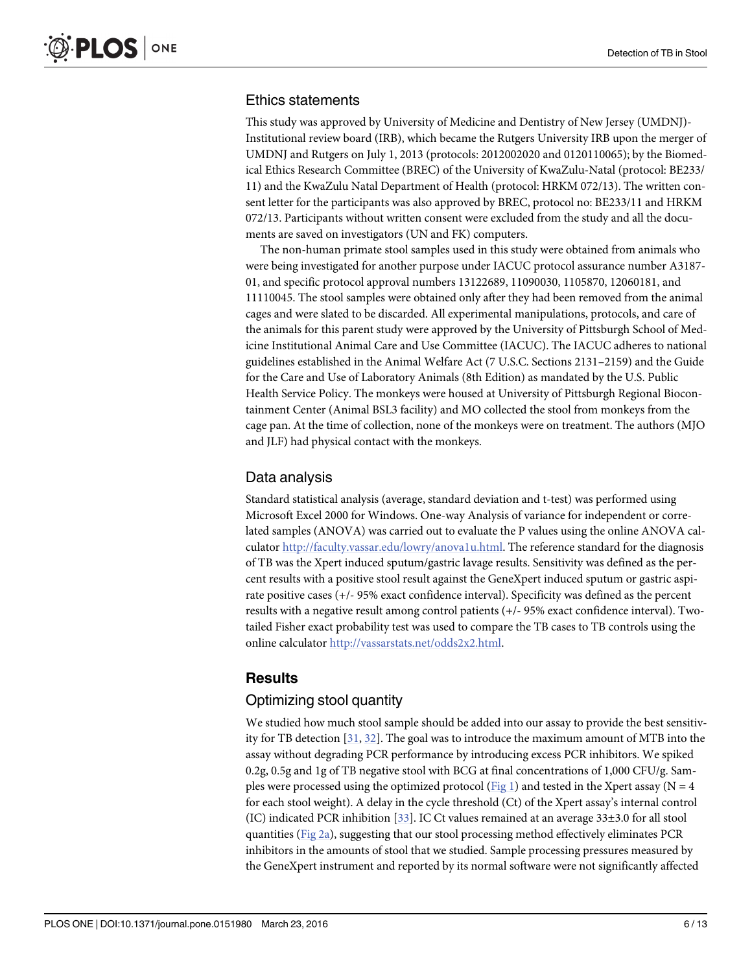#### <span id="page-5-0"></span>Ethics statements

This study was approved by University of Medicine and Dentistry of New Jersey (UMDNJ)- Institutional review board (IRB), which became the Rutgers University IRB upon the merger of UMDNJ and Rutgers on July 1, 2013 (protocols: 2012002020 and 0120110065); by the Biomedical Ethics Research Committee (BREC) of the University of KwaZulu-Natal (protocol: BE233/ 11) and the KwaZulu Natal Department of Health (protocol: HRKM 072/13). The written consent letter for the participants was also approved by BREC, protocol no: BE233/11 and HRKM 072/13. Participants without written consent were excluded from the study and all the documents are saved on investigators (UN and FK) computers.

The non-human primate stool samples used in this study were obtained from animals who were being investigated for another purpose under IACUC protocol assurance number A3187- 01, and specific protocol approval numbers 13122689, 11090030, 1105870, 12060181, and 11110045. The stool samples were obtained only after they had been removed from the animal cages and were slated to be discarded. All experimental manipulations, protocols, and care of the animals for this parent study were approved by the University of Pittsburgh School of Medicine Institutional Animal Care and Use Committee (IACUC). The IACUC adheres to national guidelines established in the Animal Welfare Act (7 U.S.C. Sections 2131–2159) and the Guide for the Care and Use of Laboratory Animals (8th Edition) as mandated by the U.S. Public Health Service Policy. The monkeys were housed at University of Pittsburgh Regional Biocontainment Center (Animal BSL3 facility) and MO collected the stool from monkeys from the cage pan. At the time of collection, none of the monkeys were on treatment. The authors (MJO and JLF) had physical contact with the monkeys.

#### Data analysis

Standard statistical analysis (average, standard deviation and t-test) was performed using Microsoft Excel 2000 for Windows. One-way Analysis of variance for independent or correlated samples (ANOVA) was carried out to evaluate the P values using the online ANOVA calculator <http://faculty.vassar.edu/lowry/anova1u.html>. The reference standard for the diagnosis of TB was the Xpert induced sputum/gastric lavage results. Sensitivity was defined as the percent results with a positive stool result against the GeneXpert induced sputum or gastric aspirate positive cases (+/- 95% exact confidence interval). Specificity was defined as the percent results with a negative result among control patients (+/- 95% exact confidence interval). Twotailed Fisher exact probability test was used to compare the TB cases to TB controls using the online calculator <http://vassarstats.net/odds2x2.html>.

# **Results**

#### Optimizing stool quantity

We studied how much stool sample should be added into our assay to provide the best sensitivity for TB detection [[31](#page-12-0), [32](#page-12-0)]. The goal was to introduce the maximum amount of MTB into the assay without degrading PCR performance by introducing excess PCR inhibitors. We spiked 0.2g, 0.5g and 1g of TB negative stool with BCG at final concentrations of 1,000 CFU/g. Sam-ples were processed using the optimized protocol ([Fig 1](#page-3-0)) and tested in the Xpert assay (N = 4 for each stool weight). A delay in the cycle threshold (Ct) of the Xpert assay's internal control (IC) indicated PCR inhibition [[33](#page-12-0)]. IC Ct values remained at an average 33±3.0 for all stool quantities ([Fig 2a\)](#page-6-0), suggesting that our stool processing method effectively eliminates PCR inhibitors in the amounts of stool that we studied. Sample processing pressures measured by the GeneXpert instrument and reported by its normal software were not significantly affected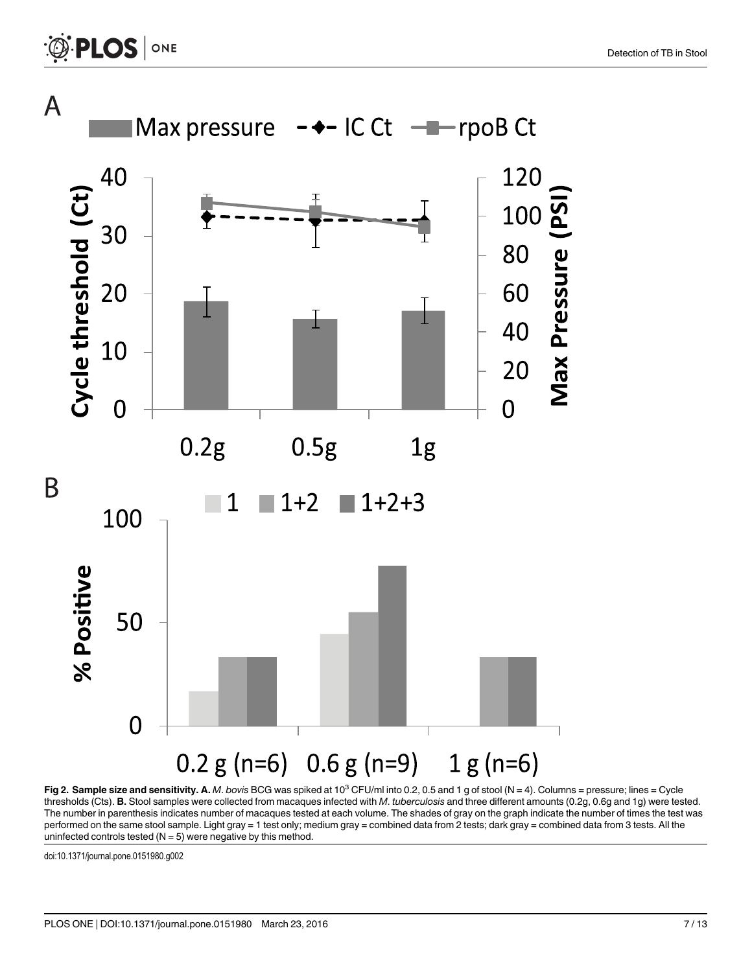<span id="page-6-0"></span>

[Fig 2. S](#page-5-0)ample size and sensitivity. A. M. bovis BCG was spiked at 10<sup>3</sup> CFU/ml into 0.2, 0.5 and 1 g of stool (N = 4). Columns = pressure; lines = Cycle thresholds (Cts). B. Stool samples were collected from macaques infected with M. tuberculosis and three different amounts (0.2g, 0.6g and 1g) were tested. The number in parenthesis indicates number of macaques tested at each volume. The shades of gray on the graph indicate the number of times the test was performed on the same stool sample. Light gray = 1 test only; medium gray = combined data from 2 tests; dark gray = combined data from 3 tests. All the uninfected controls tested  $(N = 5)$  were negative by this method.

doi:10.1371/journal.pone.0151980.g002

PLOS ONE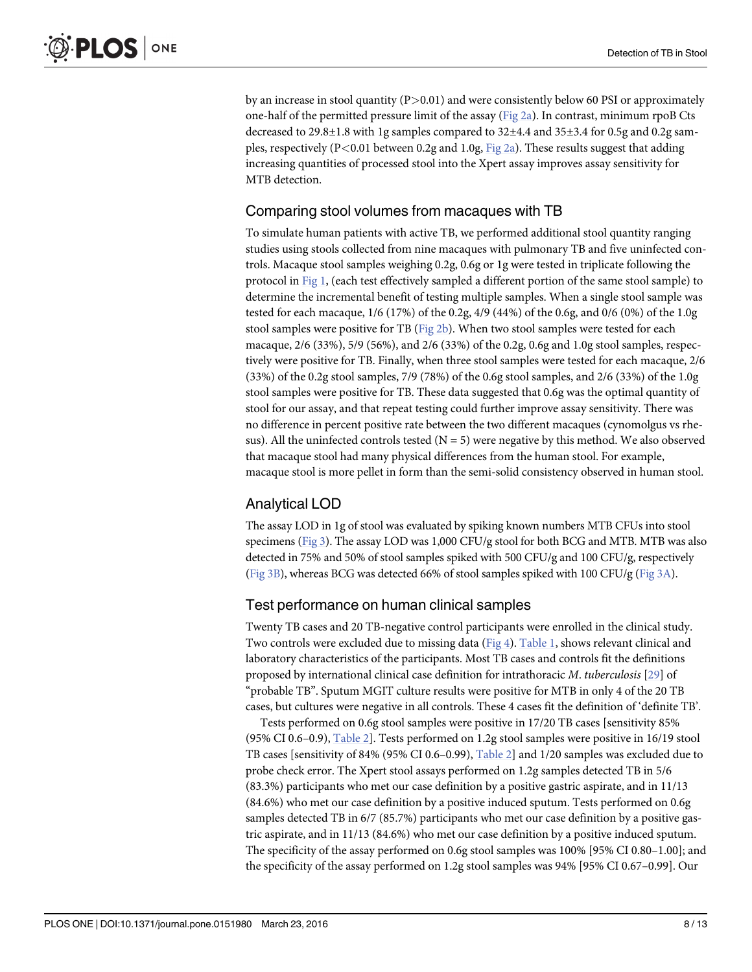<span id="page-7-0"></span>by an increase in stool quantity  $(P>0.01)$  and were consistently below 60 PSI or approximately one-half of the permitted pressure limit of the assay  $(Fig 2a)$  $(Fig 2a)$ . In contrast, minimum rpoB Cts decreased to 29.8±1.8 with 1g samples compared to 32±4.4 and 35±3.4 for 0.5g and 0.2g samples, respectively (P<0.01 between 0.2g and 1.0g,  $Fig 2a$ ). These results suggest that adding increasing quantities of processed stool into the Xpert assay improves assay sensitivity for MTB detection.

## Comparing stool volumes from macaques with TB

To simulate human patients with active TB, we performed additional stool quantity ranging studies using stools collected from nine macaques with pulmonary TB and five uninfected controls. Macaque stool samples weighing 0.2g, 0.6g or 1g were tested in triplicate following the protocol in [Fig 1](#page-3-0), (each test effectively sampled a different portion of the same stool sample) to determine the incremental benefit of testing multiple samples. When a single stool sample was tested for each macaque, 1/6 (17%) of the 0.2g, 4/9 (44%) of the 0.6g, and 0/6 (0%) of the 1.0g stool samples were positive for TB ( $Fig 2b$ ). When two stool samples were tested for each macaque, 2/6 (33%), 5/9 (56%), and 2/6 (33%) of the 0.2g, 0.6g and 1.0g stool samples, respectively were positive for TB. Finally, when three stool samples were tested for each macaque, 2/6 (33%) of the 0.2g stool samples, 7/9 (78%) of the 0.6g stool samples, and 2/6 (33%) of the 1.0g stool samples were positive for TB. These data suggested that 0.6g was the optimal quantity of stool for our assay, and that repeat testing could further improve assay sensitivity. There was no difference in percent positive rate between the two different macaques (cynomolgus vs rhesus). All the uninfected controls tested  $(N = 5)$  were negative by this method. We also observed that macaque stool had many physical differences from the human stool. For example, macaque stool is more pellet in form than the semi-solid consistency observed in human stool.

# Analytical LOD

The assay LOD in 1g of stool was evaluated by spiking known numbers MTB CFUs into stool specimens [\(Fig 3\)](#page-8-0). The assay LOD was 1,000 CFU/g stool for both BCG and MTB. MTB was also detected in 75% and 50% of stool samples spiked with 500 CFU/g and 100 CFU/g, respectively [\(Fig 3B](#page-8-0)), whereas BCG was detected 66% of stool samples spiked with 100 CFU/g ([Fig 3A\)](#page-8-0).

# Test performance on human clinical samples

Twenty TB cases and 20 TB-negative control participants were enrolled in the clinical study. Two controls were excluded due to missing data ([Fig 4](#page-9-0)). [Table 1](#page-4-0), shows relevant clinical and laboratory characteristics of the participants. Most TB cases and controls fit the definitions proposed by international clinical case definition for intrathoracic M. tuberculosis [[29](#page-12-0)] of "probable TB". Sputum MGIT culture results were positive for MTB in only 4 of the 20 TB cases, but cultures were negative in all controls. These 4 cases fit the definition of 'definite TB'.

Tests performed on 0.6g stool samples were positive in 17/20 TB cases [sensitivity 85% (95% CI 0.6–0.9), [Table 2\]](#page-9-0). Tests performed on 1.2g stool samples were positive in 16/19 stool TB cases [sensitivity of 84% (95% CI 0.6–0.99), [Table 2\]](#page-9-0) and 1/20 samples was excluded due to probe check error. The Xpert stool assays performed on 1.2g samples detected TB in 5/6 (83.3%) participants who met our case definition by a positive gastric aspirate, and in 11/13 (84.6%) who met our case definition by a positive induced sputum. Tests performed on 0.6g samples detected TB in 6/7 (85.7%) participants who met our case definition by a positive gastric aspirate, and in 11/13 (84.6%) who met our case definition by a positive induced sputum. The specificity of the assay performed on 0.6g stool samples was 100% [95% CI 0.80–1.00]; and the specificity of the assay performed on 1.2g stool samples was 94% [95% CI 0.67–0.99]. Our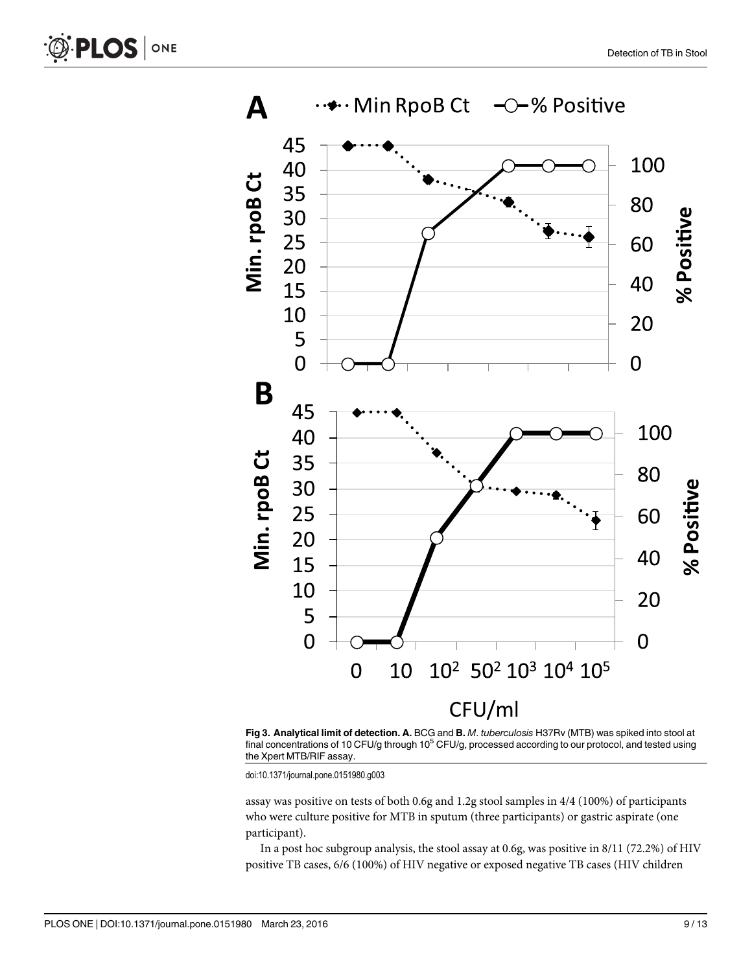<span id="page-8-0"></span>



[Fig 3. A](#page-7-0)nalytical limit of detection. A. BCG and B. M. tuberculosis H37Rv (MTB) was spiked into stool at final concentrations of 10 CFU/g through  $10^5$  CFU/g, processed according to our protocol, and tested using the Xpert MTB/RIF assay.

doi:10.1371/journal.pone.0151980.g003

assay was positive on tests of both 0.6g and 1.2g stool samples in 4/4 (100%) of participants who were culture positive for MTB in sputum (three participants) or gastric aspirate (one participant).

In a post hoc subgroup analysis, the stool assay at 0.6g, was positive in 8/11 (72.2%) of HIV positive TB cases, 6/6 (100%) of HIV negative or exposed negative TB cases (HIV children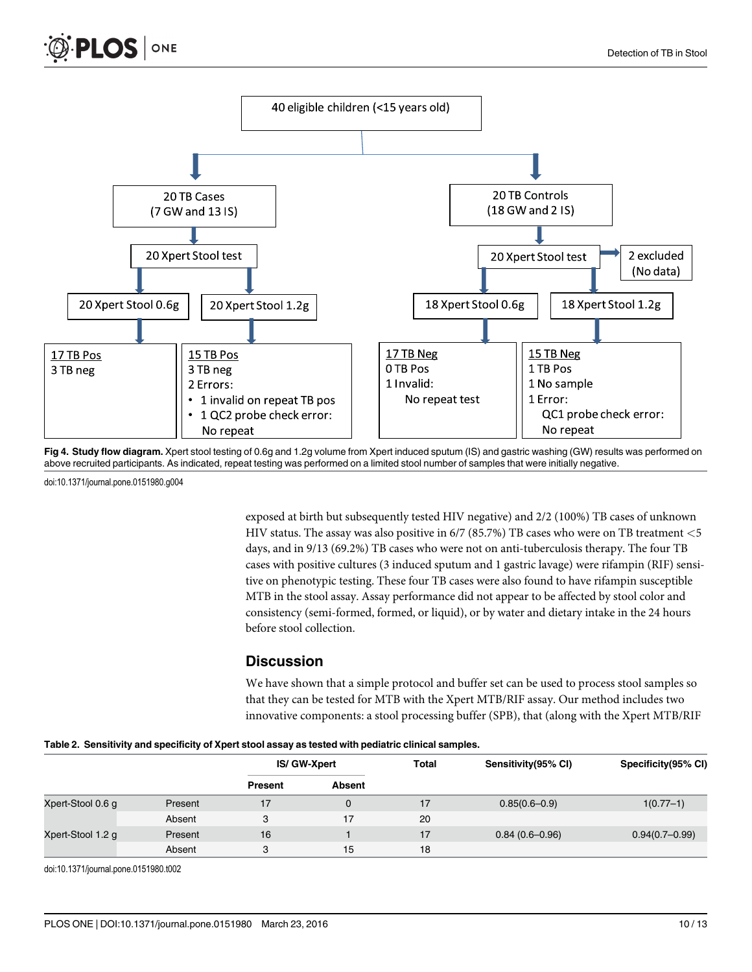<span id="page-9-0"></span>



[Fig 4. S](#page-7-0)tudy flow diagram. Xpert stool testing of 0.6g and 1.2g volume from Xpert induced sputum (IS) and gastric washing (GW) results was performed on above recruited participants. As indicated, repeat testing was performed on a limited stool number of samples that were initially negative.

doi:10.1371/journal.pone.0151980.g004

exposed at birth but subsequently tested HIV negative) and 2/2 (100%) TB cases of unknown HIV status. The assay was also positive in  $6/7$  (85.7%) TB cases who were on TB treatment  $<$  5 days, and in 9/13 (69.2%) TB cases who were not on anti-tuberculosis therapy. The four TB cases with positive cultures (3 induced sputum and 1 gastric lavage) were rifampin (RIF) sensitive on phenotypic testing. These four TB cases were also found to have rifampin susceptible MTB in the stool assay. Assay performance did not appear to be affected by stool color and consistency (semi-formed, formed, or liquid), or by water and dietary intake in the 24 hours before stool collection.

#### **Discussion**

We have shown that a simple protocol and buffer set can be used to process stool samples so that they can be tested for MTB with the Xpert MTB/RIF assay. Our method includes two innovative components: a stool processing buffer (SPB), that (along with the Xpert MTB/RIF

|  |  |  |  | Table 2. Sensitivity and specificity of Xpert stool assay as tested with pediatric clinical samples. |  |
|--|--|--|--|------------------------------------------------------------------------------------------------------|--|
|  |  |  |  |                                                                                                      |  |

|                   |         | IS/ GW-Xpert   |               | <b>Total</b> | Sensitivity (95% CI) | Specificity (95% CI) |  |
|-------------------|---------|----------------|---------------|--------------|----------------------|----------------------|--|
|                   |         | <b>Present</b> | <b>Absent</b> |              |                      |                      |  |
| Xpert-Stool 0.6 g | Present |                | 0             | 17           | $0.85(0.6 - 0.9)$    | $1(0.77-1)$          |  |
|                   | Absent  | o              | 17            | 20           |                      |                      |  |
| Xpert-Stool 1.2 g | Present | 16             |               | 17           | $0.84(0.6-0.96)$     | $0.94(0.7-0.99)$     |  |
|                   | Absent  | 3              | 15            | 18           |                      |                      |  |

doi:10.1371/journal.pone.0151980.t002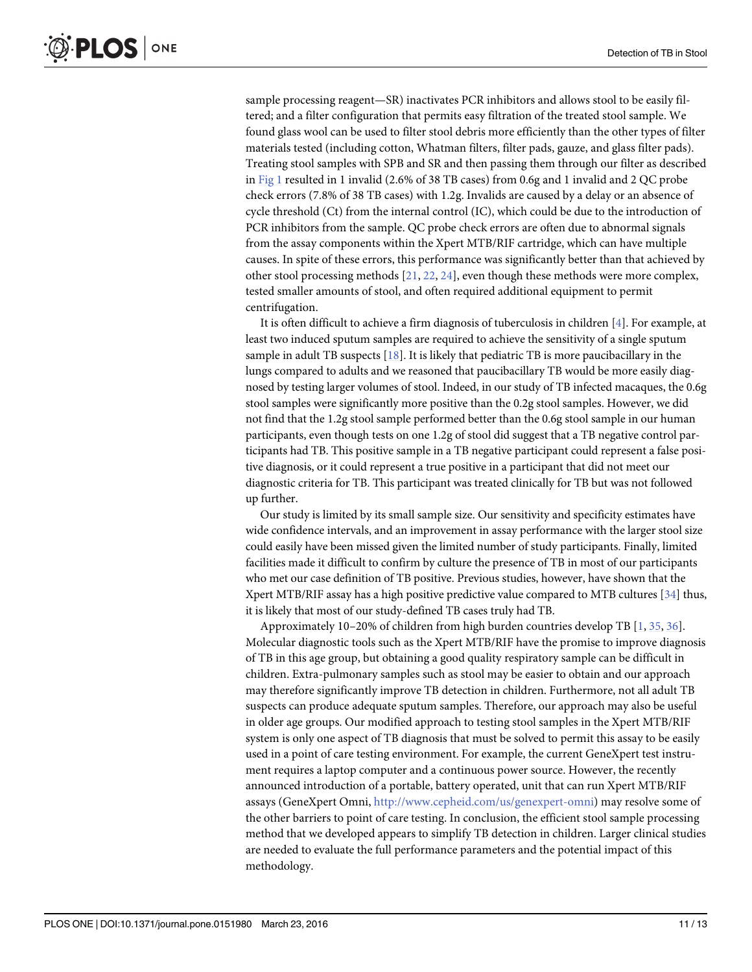<span id="page-10-0"></span>sample processing reagent—SR) inactivates PCR inhibitors and allows stool to be easily filtered; and a filter configuration that permits easy filtration of the treated stool sample. We found glass wool can be used to filter stool debris more efficiently than the other types of filter materials tested (including cotton, Whatman filters, filter pads, gauze, and glass filter pads). Treating stool samples with SPB and SR and then passing them through our filter as described in [Fig 1](#page-3-0) resulted in 1 invalid (2.6% of 38 TB cases) from 0.6g and 1 invalid and 2 QC probe check errors (7.8% of 38 TB cases) with 1.2g. Invalids are caused by a delay or an absence of cycle threshold (Ct) from the internal control (IC), which could be due to the introduction of PCR inhibitors from the sample. QC probe check errors are often due to abnormal signals from the assay components within the Xpert MTB/RIF cartridge, which can have multiple causes. In spite of these errors, this performance was significantly better than that achieved by other stool processing methods  $[21, 22, 24]$  $[21, 22, 24]$  $[21, 22, 24]$  $[21, 22, 24]$  $[21, 22, 24]$  $[21, 22, 24]$ , even though these methods were more complex, tested smaller amounts of stool, and often required additional equipment to permit centrifugation.

It is often difficult to achieve a firm diagnosis of tuberculosis in children [\[4](#page-11-0)]. For example, at least two induced sputum samples are required to achieve the sensitivity of a single sputum sample in adult TB suspects  $[18]$  $[18]$  $[18]$ . It is likely that pediatric TB is more paucibacillary in the lungs compared to adults and we reasoned that paucibacillary TB would be more easily diagnosed by testing larger volumes of stool. Indeed, in our study of TB infected macaques, the 0.6g stool samples were significantly more positive than the 0.2g stool samples. However, we did not find that the 1.2g stool sample performed better than the 0.6g stool sample in our human participants, even though tests on one 1.2g of stool did suggest that a TB negative control participants had TB. This positive sample in a TB negative participant could represent a false positive diagnosis, or it could represent a true positive in a participant that did not meet our diagnostic criteria for TB. This participant was treated clinically for TB but was not followed up further.

Our study is limited by its small sample size. Our sensitivity and specificity estimates have wide confidence intervals, and an improvement in assay performance with the larger stool size could easily have been missed given the limited number of study participants. Finally, limited facilities made it difficult to confirm by culture the presence of TB in most of our participants who met our case definition of TB positive. Previous studies, however, have shown that the Xpert MTB/RIF assay has a high positive predictive value compared to MTB cultures [\[34\]](#page-12-0) thus, it is likely that most of our study-defined TB cases truly had TB.

Approximately 10–20% of children from high burden countries develop TB  $[1, 35, 36]$  $[1, 35, 36]$  $[1, 35, 36]$  $[1, 35, 36]$  $[1, 35, 36]$  $[1, 35, 36]$ . Molecular diagnostic tools such as the Xpert MTB/RIF have the promise to improve diagnosis of TB in this age group, but obtaining a good quality respiratory sample can be difficult in children. Extra-pulmonary samples such as stool may be easier to obtain and our approach may therefore significantly improve TB detection in children. Furthermore, not all adult TB suspects can produce adequate sputum samples. Therefore, our approach may also be useful in older age groups. Our modified approach to testing stool samples in the Xpert MTB/RIF system is only one aspect of TB diagnosis that must be solved to permit this assay to be easily used in a point of care testing environment. For example, the current GeneXpert test instrument requires a laptop computer and a continuous power source. However, the recently announced introduction of a portable, battery operated, unit that can run Xpert MTB/RIF assays (GeneXpert Omni, [http://www.cepheid.com/us/genexpert-omni\)](http://www.cepheid.com/us/genexpert-omni) may resolve some of the other barriers to point of care testing. In conclusion, the efficient stool sample processing method that we developed appears to simplify TB detection in children. Larger clinical studies are needed to evaluate the full performance parameters and the potential impact of this methodology.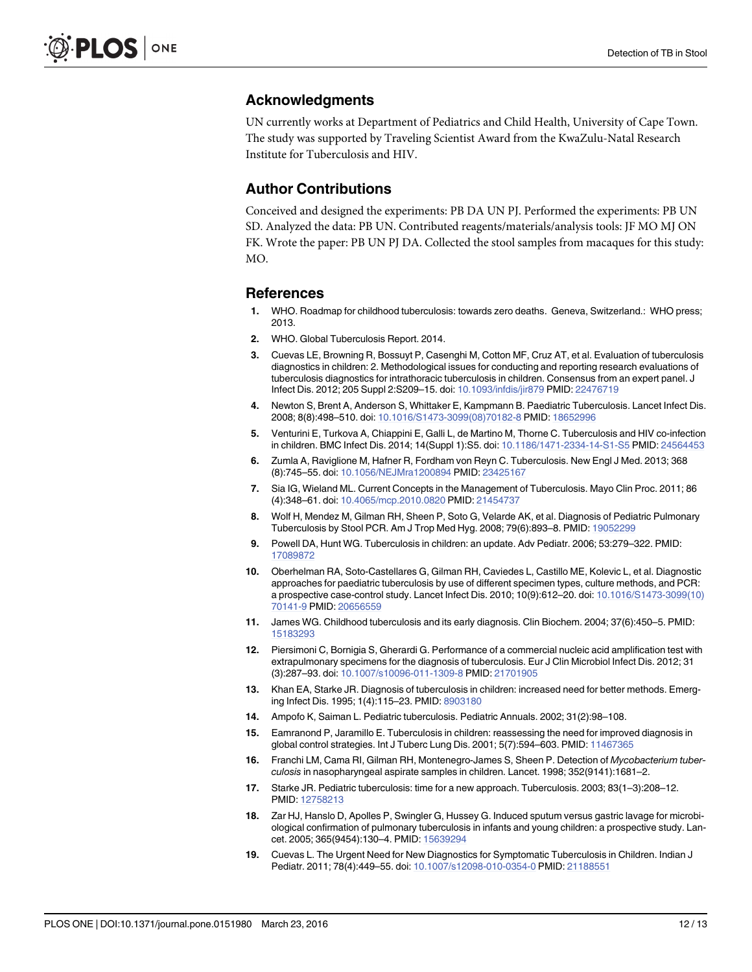#### <span id="page-11-0"></span>Acknowledgments

UN currently works at Department of Pediatrics and Child Health, University of Cape Town. The study was supported by Traveling Scientist Award from the KwaZulu-Natal Research Institute for Tuberculosis and HIV.

#### Author Contributions

Conceived and designed the experiments: PB DA UN PJ. Performed the experiments: PB UN SD. Analyzed the data: PB UN. Contributed reagents/materials/analysis tools: JF MO MJ ON FK. Wrote the paper: PB UN PJ DA. Collected the stool samples from macaques for this study: MO.

#### References

- [1.](#page-1-0) WHO. Roadmap for childhood tuberculosis: towards zero deaths. Geneva, Switzerland.: WHO press; 2013.
- [2.](#page-1-0) WHO. Global Tuberculosis Report. 2014.
- [3.](#page-1-0) Cuevas LE, Browning R, Bossuyt P, Casenghi M, Cotton MF, Cruz AT, et al. Evaluation of tuberculosis diagnostics in children: 2. Methodological issues for conducting and reporting research evaluations of tuberculosis diagnostics for intrathoracic tuberculosis in children. Consensus from an expert panel. J Infect Dis. 2012; 205 Suppl 2:S209–15. doi: [10.1093/infdis/jir879](http://dx.doi.org/10.1093/infdis/jir879) PMID: [22476719](http://www.ncbi.nlm.nih.gov/pubmed/22476719)
- [4.](#page-1-0) Newton S, Brent A, Anderson S, Whittaker E, Kampmann B. Paediatric Tuberculosis. Lancet Infect Dis. 2008; 8(8):498–510. doi: [10.1016/S1473-3099\(08\)70182-8](http://dx.doi.org/10.1016/S1473-3099(08)70182-8) PMID: [18652996](http://www.ncbi.nlm.nih.gov/pubmed/18652996)
- [5.](#page-1-0) Venturini E, Turkova A, Chiappini E, Galli L, de Martino M, Thorne C. Tuberculosis and HIV co-infection in children. BMC Infect Dis. 2014; 14(Suppl 1):S5. doi: [10.1186/1471-2334-14-S1-S5](http://dx.doi.org/10.1186/1471-2334-14-S1-S5) PMID: [24564453](http://www.ncbi.nlm.nih.gov/pubmed/24564453)
- [6.](#page-1-0) Zumla A, Raviglione M, Hafner R, Fordham von Reyn C. Tuberculosis. New Engl J Med. 2013; 368 (8):745–55. doi: [10.1056/NEJMra1200894](http://dx.doi.org/10.1056/NEJMra1200894) PMID: [23425167](http://www.ncbi.nlm.nih.gov/pubmed/23425167)
- [7.](#page-1-0) Sia IG, Wieland ML. Current Concepts in the Management of Tuberculosis. Mayo Clin Proc. 2011; 86 (4):348–61. doi: [10.4065/mcp.2010.0820](http://dx.doi.org/10.4065/mcp.2010.0820) PMID: [21454737](http://www.ncbi.nlm.nih.gov/pubmed/21454737)
- [8.](#page-1-0) Wolf H, Mendez M, Gilman RH, Sheen P, Soto G, Velarde AK, et al. Diagnosis of Pediatric Pulmonary Tuberculosis by Stool PCR. Am J Trop Med Hyg. 2008; 79(6):893–8. PMID: [19052299](http://www.ncbi.nlm.nih.gov/pubmed/19052299)
- 9. Powell DA, Hunt WG. Tuberculosis in children: an update. Adv Pediatr. 2006; 53:279–322. PMID: [17089872](http://www.ncbi.nlm.nih.gov/pubmed/17089872)
- [10.](#page-1-0) Oberhelman RA, Soto-Castellares G, Gilman RH, Caviedes L, Castillo ME, Kolevic L, et al. Diagnostic approaches for paediatric tuberculosis by use of different specimen types, culture methods, and PCR: a prospective case-control study. Lancet Infect Dis. 2010; 10(9):612–20. doi: [10.1016/S1473-3099\(10\)](http://dx.doi.org/10.1016/S1473-3099(10)70141-9) [70141-9](http://dx.doi.org/10.1016/S1473-3099(10)70141-9) PMID: [20656559](http://www.ncbi.nlm.nih.gov/pubmed/20656559)
- [11.](#page-1-0) James WG. Childhood tuberculosis and its early diagnosis. Clin Biochem. 2004; 37(6):450–5. PMID: [15183293](http://www.ncbi.nlm.nih.gov/pubmed/15183293)
- [12.](#page-1-0) Piersimoni C, Bornigia S, Gherardi G. Performance of a commercial nucleic acid amplification test with extrapulmonary specimens for the diagnosis of tuberculosis. Eur J Clin Microbiol Infect Dis. 2012; 31 (3):287–93. doi: [10.1007/s10096-011-1309-8](http://dx.doi.org/10.1007/s10096-011-1309-8) PMID: [21701905](http://www.ncbi.nlm.nih.gov/pubmed/21701905)
- 13. Khan EA, Starke JR. Diagnosis of tuberculosis in children: increased need for better methods. Emerging Infect Dis. 1995; 1(4):115–23. PMID: [8903180](http://www.ncbi.nlm.nih.gov/pubmed/8903180)
- 14. Ampofo K, Saiman L. Pediatric tuberculosis. Pediatric Annuals. 2002; 31(2):98–108.
- 15. Eamranond P, Jaramillo E. Tuberculosis in children: reassessing the need for improved diagnosis in global control strategies. Int J Tuberc Lung Dis. 2001; 5(7):594–603. PMID: [11467365](http://www.ncbi.nlm.nih.gov/pubmed/11467365)
- 16. Franchi LM, Cama RI, Gilman RH, Montenegro-James S, Sheen P. Detection of Mycobacterium tuberculosis in nasopharyngeal aspirate samples in children. Lancet. 1998; 352(9141):1681–2.
- [17.](#page-1-0) Starke JR. Pediatric tuberculosis: time for a new approach. Tuberculosis. 2003; 83(1–3):208–12. PMID: [12758213](http://www.ncbi.nlm.nih.gov/pubmed/12758213)
- [18.](#page-1-0) Zar HJ, Hanslo D, Apolles P, Swingler G, Hussey G. Induced sputum versus gastric lavage for microbiological confirmation of pulmonary tuberculosis in infants and young children: a prospective study. Lancet. 2005; 365(9454):130–4. PMID: [15639294](http://www.ncbi.nlm.nih.gov/pubmed/15639294)
- [19.](#page-1-0) Cuevas L. The Urgent Need for New Diagnostics for Symptomatic Tuberculosis in Children. Indian J Pediatr. 2011; 78(4):449–55. doi: [10.1007/s12098-010-0354-0](http://dx.doi.org/10.1007/s12098-010-0354-0) PMID: [21188551](http://www.ncbi.nlm.nih.gov/pubmed/21188551)